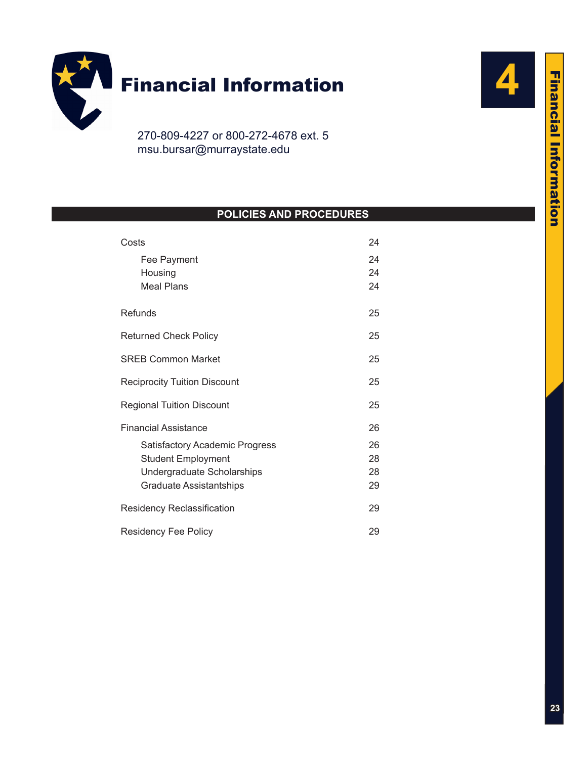

[msu.bursar@murraystate.edu](mailto:msu.bursar@murraystate.edu)

# **POLICIES AND PROCEDURES**

| Costs                               | 24 |
|-------------------------------------|----|
| Fee Payment                         | 24 |
| Housing                             | 24 |
| <b>Meal Plans</b>                   | 24 |
| Refunds                             | 25 |
| <b>Returned Check Policy</b>        | 25 |
| <b>SREB Common Market</b>           | 25 |
| <b>Reciprocity Tuition Discount</b> | 25 |
| <b>Regional Tuition Discount</b>    | 25 |
| <b>Financial Assistance</b>         | 26 |
| Satisfactory Academic Progress      | 26 |
| <b>Student Employment</b>           | 28 |
| Undergraduate Scholarships          | 28 |
| <b>Graduate Assistantships</b>      | 29 |
| Residency Reclassification          | 29 |
| <b>Residency Fee Policy</b>         | 29 |

**4**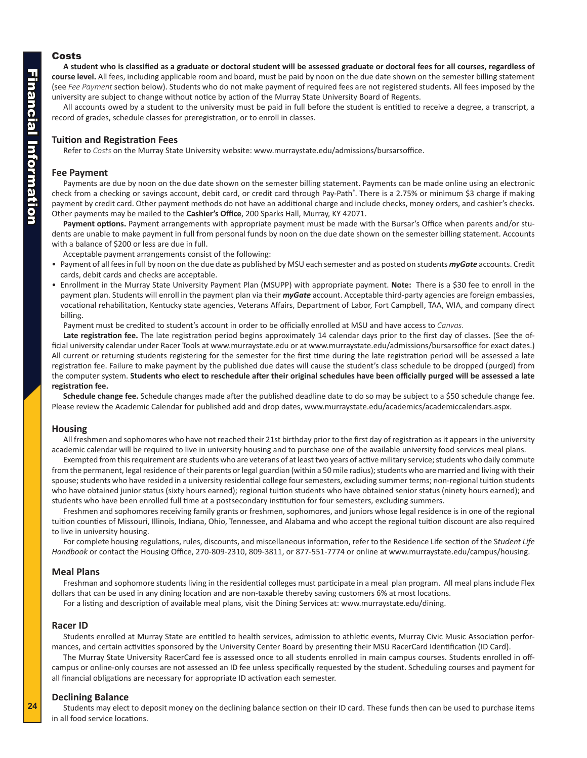## <span id="page-1-0"></span>Costs

**A student who is classified as a graduate or doctoral student will be assessed graduate or doctoral fees for all courses, regardless of course level.** All fees, including applicable room and board, must be paid by noon on the due date shown on the semester billing statement (see *Fee Payment* section below). Students who do not make payment of required fees are not registered students. All fees imposed by the university are subject to change without notice by action of the Murray State University Board of Regents.

All accounts owed by a student to the university must be paid in full before the student is entitled to receive a degree, a transcript, a record of grades, schedule classes for preregistration, or to enroll in classes.

## **Tuition and Registration Fees**

Refer to *Costs* on the Murray State University website: www.murraystate.edu/admissions/bursarsoffice.

## **Fee Payment**

Payments are due by noon on the due date shown on the semester billing statement. Payments can be made online using an electronic check from a checking or savings account, debit card, or credit card through Pay-Path®. There is a 2.75% or minimum \$3 charge if making payment by credit card. Other payment methods do not have an additional charge and include checks, money orders, and cashier's checks. Other payments may be mailed to the **Cashier's Office**, 200 Sparks Hall, Murray, KY 42071.

**Payment options.** Payment arrangements with appropriate payment must be made with the Bursar's Office when parents and/or students are unable to make payment in full from personal funds by noon on the due date shown on the semester billing statement. Accounts with a balance of \$200 or less are due in full.

Acceptable payment arrangements consist of the following:

- Payment of all fees in full by noon on the due date as published by MSU each semester and as posted on students *myGate* accounts. Credit cards, debit cards and checks are acceptable.
- Enrollment in the Murray State University Payment Plan (MSUPP) with appropriate payment. **Note:** There is a \$30 fee to enroll in the payment plan. Students will enroll in the payment plan via their *myGate* account. Acceptable third-party agencies are foreign embassies, vocational rehabilitation, Kentucky state agencies, Veterans Affairs, Department of Labor, Fort Campbell, TAA, WIA, and company direct billing.

Payment must be credited to student's account in order to be officially enrolled at MSU and have access to *Canvas.*

**Late registration fee.** The late registration period begins approximately 14 calendar days prior to the first day of classes. (See the official university calendar under Racer Tools at [www.murraystate.ed](www. www.murraystate.edu)u or at<www.murraystate.edu/admissions/bursarsoffice>for exact dates.) All current or returning students registering for the semester for the first time during the late registration period will be assessed a late registration fee. Failure to make payment by the published due dates will cause the student's class schedule to be dropped (purged) from the computer system. **Students who elect to reschedule after their original schedules have been officially purged will be assessed a late registration fee.**

**Schedule change fee.** Schedule changes made after the published deadline date to do so may be subject to a \$50 schedule change fee. Please review the Academic Calendar for published add and drop dates, [www.murraystate.edu/academics/academiccalendars.aspx.](www.murraystate.edu/academics/academiccalendars.aspx)

#### **Housing**

All freshmen and sophomores who have not reached their 21st birthday prior to the first day of registration as it appears in the university academic calendar will be required to live in university housing and to purchase one of the available university food services meal plans.

Exempted from this requirement are students who are veterans of at least two years of active military service; students who daily commute from the permanent, legal residence of their parents or legal guardian (within a 50 mile radius); students who are married and living with their spouse; students who have resided in a university residential college four semesters, excluding summer terms; non-regional tuition students who have obtained junior status (sixty hours earned); regional tuition students who have obtained senior status (ninety hours earned); and students who have been enrolled full time at a postsecondary institution for four semesters, excluding summers.

Freshmen and sophomores receiving family grants or freshmen, sophomores, and juniors whose legal residence is in one of the regional tuition counties of Missouri, Illinois, Indiana, Ohio, Tennessee, and Alabama and who accept the regional tuition discount are also required to live in university housing.

For complete housing regulations, rules, discounts, and miscellaneous information, refer to the Residence Life section of the S*tudent Life Handbook* or contact the Housing Office, 270-809-2310, 809-3811, or 877-551-7774 or online at [www.murraystate.edu/campus/housing.](www.murraystate.edu/campus/housing)

#### **Meal Plans**

Freshman and sophomore students living in the residential colleges must participate in a meal plan program. All meal plans include Flex dollars that can be used in any dining location and are non-taxable thereby saving customers 6% at most locations.

For a listing and description of available meal plans, visit the Dining Services at: <www.murraystate.edu/dining>.

#### **Racer ID**

Students enrolled at Murray State are entitled to health services, admission to athletic events, Murray Civic Music Association performances, and certain activities sponsored by the University Center Board by presenting their MSU RacerCard Identification (ID Card).

The Murray State University RacerCard fee is assessed once to all students enrolled in main campus courses. Students enrolled in offcampus or online-only courses are not assessed an ID fee unless specifically requested by the student. Scheduling courses and payment for all financial obligations are necessary for appropriate ID activation each semester.

#### **Declining Balance**

Students may elect to deposit money on the declining balance section on their ID card. These funds then can be used to purchase items in all food service locations.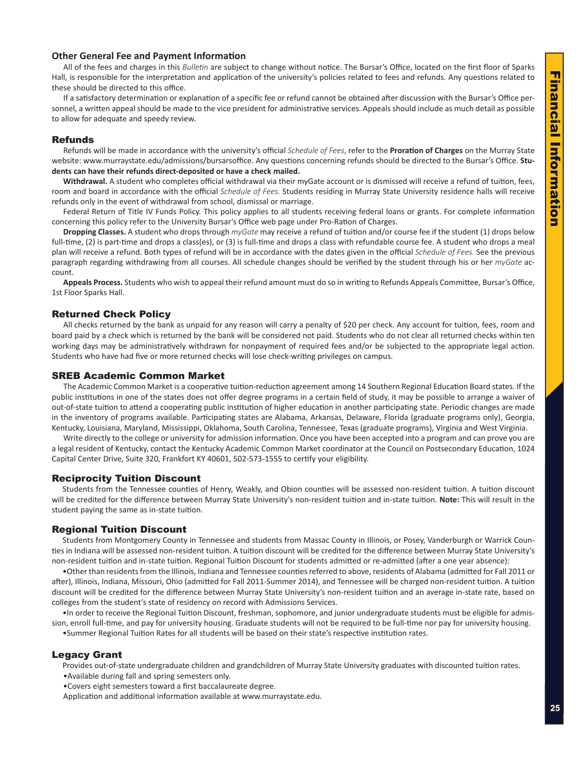## <span id="page-2-0"></span>**Other General Fee and Payment Information**

All of the fees and charges in this *Bulletin* are subject to change without notice. The Bursar's Office, located on the first floor of Sparks Hall, is responsible for the interpretation and application of the university's policies related to fees and refunds. Any questions related to these should be directed to this office.

If a satisfactory determination or explanation of a specific fee or refund cannot be obtained after discussion with the Bursar's Office personnel, a written appeal should be made to the vice president for administrative services. Appeals should include as much detail as possible to allow for adequate and speedy review.

## Refunds

Refunds will be made in accordance with the university's official *Schedule of Fees*, refer to the **Proration of Charges** on the Murray State website: www.murraystate.edu/admissions/bursarsoffice. Any questions concerning refunds should be directed to the Bursar's Office. **Students can have their refunds direct-deposited or have a check mailed.**

**Withdrawal.** A student who completes official withdrawal via their myGate account or is dismissed will receive a refund of tuition, fees, room and board in accordance with the official *Schedule of Fees.* Students residing in Murray State University residence halls will receive refunds only in the event of withdrawal from school, dismissal or marriage.

Federal Return of Title IV Funds Policy. This policy applies to all students receiving federal loans or grants. For complete information concerning this policy refer to the University Bursar's Office web page under Pro-Ration of Charges.

**Dropping Classes.** A student who drops through *myGate* may receive a refund of tuition and/or course fee if the student (1) drops below full-time, (2) is part-time and drops a class(es), or (3) is full-time and drops a class with refundable course fee. A student who drops a meal plan will receive a refund. Both types of refund will be in accordance with the dates given in the official *Schedule of Fees.* See the previous paragraph regarding withdrawing from all courses. All schedule changes should be verified by the student through his or her *myGate* account.

**Appeals Process.** Students who wish to appeal their refund amount must do so in writing to Refunds Appeals Committee, Bursar's Office, 1st Floor Sparks Hall.

## Returned Check Policy

All checks returned by the bank as unpaid for any reason will carry a penalty of \$20 per check. Any account for tuition, fees, room and board paid by a check which is returned by the bank will be considered not paid. Students who do not clear all returned checks within ten working days may be administratively withdrawn for nonpayment of required fees and/or be subjected to the appropriate legal action. Students who have had five or more returned checks will lose check-writing privileges on campus.

#### SREB Academic Common Market

The Academic Common Market is a cooperative tuition-reduction agreement among 14 Southern Regional Education Board states. If the public institutions in one of the states does not offer degree programs in a certain field of study, it may be possible to arrange a waiver of out-of-state tuition to attend a cooperating public institution of higher education in another participating state. Periodic changes are made in the inventory of programs available. Participating states are Alabama, Arkansas, Delaware, Florida (graduate programs only), Georgia, Kentucky, Louisiana, Maryland, Mississippi, Oklahoma, South Carolina, Tennessee, Texas (graduate programs), Virginia and West Virginia.

Write directly to the college or university for admission information. Once you have been accepted into a program and can prove you are a legal resident of Kentucky, contact the Kentucky Academic Common Market coordinator at the Council on Postsecondary Education, 1024 Capital Center Drive, Suite 320, Frankfort KY 40601, 502-573-1555 to certify your eligibility.

## Reciprocity Tuition Discount

Students from the Tennessee counties of Henry, Weakly, and Obion counties will be assessed non-resident tuition. A tuition discount will be credited for the difference between Murray State University's non-resident tuition and in-state tuition. **Note:** This will result in the student paying the same as in-state tuition.

## Regional Tuition Discount

Students from Montgomery County in Tennessee and students from Massac County in Illinois, or Posey, Vanderburgh or Warrick Counties in Indiana will be assessed non-resident tuition. A tuition discount will be credited for the difference between Murray State University's non-resident tuition and in-state tuition. Regional Tuition Discount for students admitted or re-admitted (after a one year absence):

•Other than residents from the Illinois, Indiana and Tennessee counties referred to above, residents of Alabama (admitted for Fall 2011 or after), Illinois, Indiana, Missouri, Ohio (admitted for Fall 2011-Summer 2014), and Tennessee will be charged non-resident tuition. A tuition discount will be credited for the difference between Murray State University's non-resident tuition and an average in-state rate, based on colleges from the student's state of residency on record with Admissions Services.

•In order to receive the Regional Tuition Discount, freshman, sophomore, and junior undergraduate students must be eligible for admission, enroll full-time, and pay for university housing. Graduate students will not be required to be full-time nor pay for university housing.

•Summer Regional Tuition Rates for all students will be based on their state's respective institution rates.

## Legacy Grant

Provides out-of-state undergraduate children and grandchildren of Murray State University graduates with discounted tuition rates.

•Available during fall and spring semesters only.

•Covers eight semesters toward a first baccalaureate degree.

Application and additional information available at www.murraystate.edu.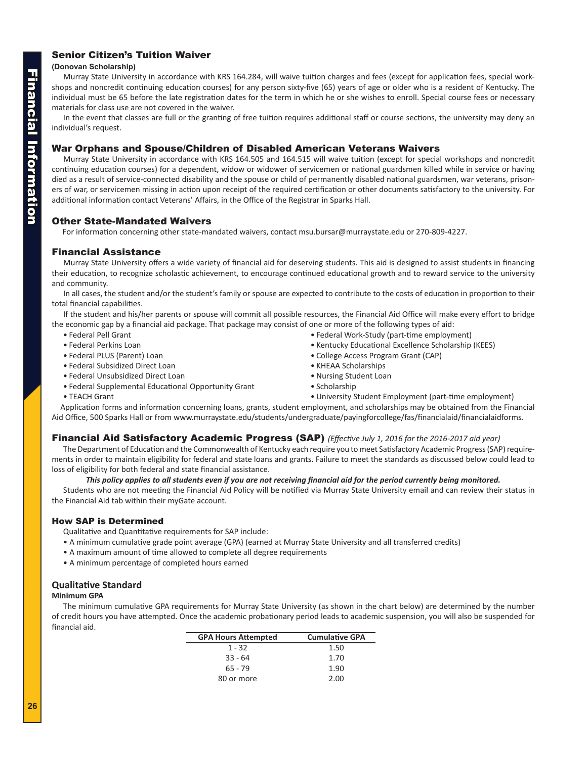## <span id="page-3-0"></span>Senior Citizen's Tuition Waiver

## **(Donovan Scholarship)**

Murray State University in accordance with KRS 164.284, will waive tuition charges and fees (except for application fees, special workshops and noncredit continuing education courses) for any person sixty-five (65) years of age or older who is a resident of Kentucky. The individual must be 65 before the late registration dates for the term in which he or she wishes to enroll. Special course fees or necessary materials for class use are not covered in the waiver.

In the event that classes are full or the granting of free tuition requires additional staff or course sections, the university may deny an individual's request.

## War Orphans and Spouse/Children of Disabled American Veterans Waivers

Murray State University in accordance with KRS 164.505 and 164.515 will waive tuition (except for special workshops and noncredit continuing education courses) for a dependent, widow or widower of servicemen or national guardsmen killed while in service or having died as a result of service-connected disability and the spouse or child of permanently disabled national guardsmen, war veterans, prisoners of war, or servicemen missing in action upon receipt of the required certification or other documents satisfactory to the university. For additional information contact Veterans' Affairs, in the Office of the Registrar in Sparks Hall.

## Other State-Mandated Waivers

For information concerning other state-mandated waivers, contact msu.bursar@murraystate.edu or 270-809-4227.

## Financial Assistance

Murray State University offers a wide variety of financial aid for deserving students. This aid is designed to assist students in financing their education, to recognize scholastic achievement, to encourage continued educational growth and to reward service to the university and community.

In all cases, the student and/or the student's family or spouse are expected to contribute to the costs of education in proportion to their total financial capabilities.

If the student and his/her parents or spouse will commit all possible resources, the Financial Aid Office will make every effort to bridge the economic gap by a financial aid package. That package may consist of one or more of the following types of aid:

- Federal Pell Grant Federal Work-Study (part-time employment)
- 
- 
- Federal Subsidized Direct Loan KHEAA Scholarships
- Federal Unsubsidized Direct Loan Nursing Student Loan Nursing Student Loan
- Federal Supplemental Educational Opportunity Grant Scholarship
- 
- Federal Perkins Loan Kentucky Educational Excellence Scholarship (KEES)
- Federal PLUS (Parent) Loan College Access Program Grant (CAP)
	-
	-
	-
- TEACH Grant CHECH Grant University Student Employment (part-time employment)

Application forms and information concerning loans, grants, student employment, and scholarships may be obtained from the Financial Aid Office, 500 Sparks Hall or from www.murraystate.edu/students/undergraduate/payingforcollege/fas/financialaid/financialaidforms.

## Financial Aid Satisfactory Academic Progress (SAP) *(Effective July 1, 2016 for the 2016-2017 aid year)*

The Department of Education and the Commonwealth of Kentucky each require you to meet Satisfactory Academic Progress (SAP) requirements in order to maintain eligibility for federal and state loans and grants. Failure to meet the standards as discussed below could lead to loss of eligibility for both federal and state financial assistance.

## *This policy applies to all students even if you are not receiving financial aid for the period currently being monitored.*

Students who are not meeting the Financial Aid Policy will be notified via Murray State University email and can review their status in the Financial Aid tab within their myGate account.

## How SAP is Determined

- Qualitative and Quantitative requirements for SAP include:
- A minimum cumulative grade point average (GPA) (earned at Murray State University and all transferred credits)
- A maximum amount of time allowed to complete all degree requirements
- A minimum percentage of completed hours earned

## **Qualitative Standard**

#### **Minimum GPA**

The minimum cumulative GPA requirements for Murray State University (as shown in the chart below) are determined by the number of credit hours you have attempted. Once the academic probationary period leads to academic suspension, you will also be suspended for financial aid.

| <b>GPA Hours Attempted</b> | <b>Cumulative GPA</b> |
|----------------------------|-----------------------|
| $1 - 32$                   | 1.50                  |
| $33 - 64$                  | 1.70                  |
| $65 - 79$                  | 1.90                  |
| 80 or more                 | 2.00                  |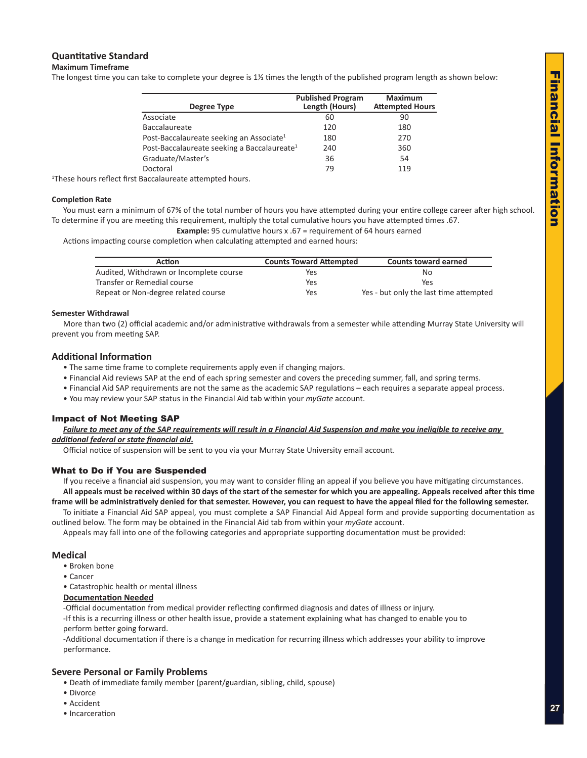## **Quantitative Standard**

#### **Maximum Timeframe**

The longest time you can take to complete your degree is 1½ times the length of the published program length as shown below:

| Degree Type                                             | <b>Published Program</b><br>Length (Hours) | <b>Maximum</b><br><b>Attempted Hours</b> |
|---------------------------------------------------------|--------------------------------------------|------------------------------------------|
| Associate                                               | 60                                         | 90                                       |
| <b>Baccalaureate</b>                                    | 120                                        | 180                                      |
| Post-Baccalaureate seeking an Associate <sup>1</sup>    | 180                                        | 270                                      |
| Post-Baccalaureate seeking a Baccalaureate <sup>1</sup> | 240                                        | 360                                      |
| Graduate/Master's                                       | 36                                         | 54                                       |
| Doctoral                                                | 79                                         | 119                                      |
|                                                         |                                            |                                          |

<sup>1</sup>These hours reflect first Baccalaureate attempted hours.

#### **Completion Rate**

You must earn a minimum of 67% of the total number of hours you have attempted during your entire college career after high school. To determine if you are meeting this requirement, multiply the total cumulative hours you have attempted times .67.

**Example:** 95 cumulative hours x .67 = requirement of 64 hours earned

Actions impacting course completion when calculating attempted and earned hours:

| <b>Action</b>                           | <b>Counts Toward Attempted</b> | <b>Counts toward earned</b>            |
|-----------------------------------------|--------------------------------|----------------------------------------|
| Audited, Withdrawn or Incomplete course | Yes                            | Nο                                     |
| Transfer or Remedial course             | Yes                            | Yes                                    |
| Repeat or Non-degree related course     | Yes                            | Yes - but only the last time attempted |

#### **Semester Withdrawal**

More than two (2) official academic and/or administrative withdrawals from a semester while attending Murray State University will prevent you from meeting SAP.

## **Additional Information**

- The same time frame to complete requirements apply even if changing majors.
- Financial Aid reviews SAP at the end of each spring semester and covers the preceding summer, fall, and spring terms.
- Financial Aid SAP requirements are not the same as the academic SAP regulations each requires a separate appeal process.
- You may review your SAP status in the Financial Aid tab within your *myGate* account.

## Impact of Not Meeting SAP

*Failure to meet any of the SAP requirements will result in a Financial Aid Suspension and make you ineligible to receive any additional federal or state financial aid***.**

Official notice of suspension will be sent to you via your Murray State University email account.

#### What to Do if You are Suspended

If you receive a financial aid suspension, you may want to consider filing an appeal if you believe you have mitigating circumstances. **All appeals must be received within 30 days of the start of the semester for which you are appealing. Appeals received after this time** 

**frame will be administratively denied for that semester. However, you can request to have the appeal filed for the following semester.**  To initiate a Financial Aid SAP appeal, you must complete a SAP Financial Aid Appeal form and provide supporting documentation as

outlined below. The form may be obtained in the Financial Aid tab from within your *myGate* account.

Appeals may fall into one of the following categories and appropriate supporting documentation must be provided:

#### **Medical**

- Broken bone
- Cancer
- Catastrophic health or mental illness

#### **Documentation Needed**

-Official documentation from medical provider reflecting confirmed diagnosis and dates of illness or injury.

-If this is a recurring illness or other health issue, provide a statement explaining what has changed to enable you to perform better going forward.

-Additional documentation if there is a change in medication for recurring illness which addresses your ability to improve performance.

## **Severe Personal or Family Problems**

- Death of immediate family member (parent/guardian, sibling, child, spouse)
- Divorce
- Accident
- Incarceration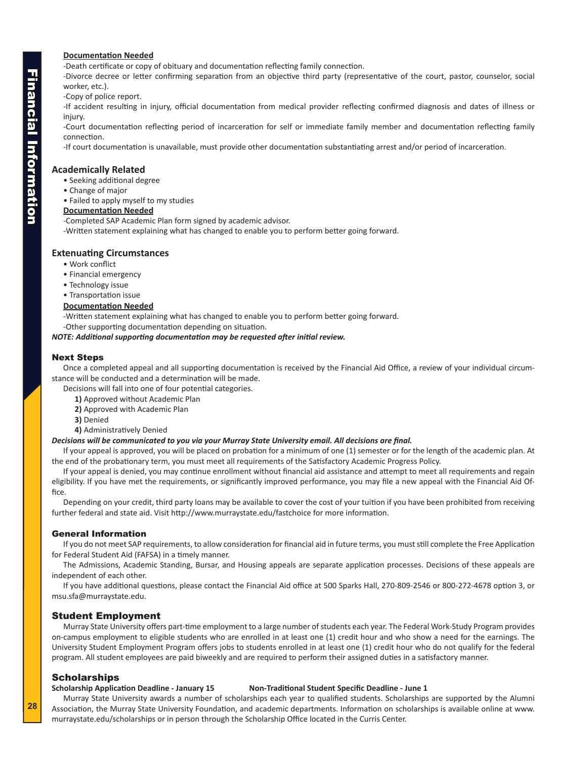## <span id="page-5-0"></span>**Documentation Needed**

-Death certificate or copy of obituary and documentation reflecting family connection.

-Divorce decree or letter confirming separation from an objective third party (representative of the court, pastor, counselor, social worker, etc.).

-Copy of police report.

-If accident resulting in injury, official documentation from medical provider reflecting confirmed diagnosis and dates of illness or injury.

-Court documentation reflecting period of incarceration for self or immediate family member and documentation reflecting family connection.

-If court documentation is unavailable, must provide other documentation substantiating arrest and/or period of incarceration.

## **Academically Related**

- Seeking additional degree
- Change of major
- Failed to apply myself to my studies

## **Documentation Needed**

-Completed SAP Academic Plan form signed by academic advisor.

-Written statement explaining what has changed to enable you to perform better going forward.

## **Extenuating Circumstances**

- Work conflict
- Financial emergency
- Technology issue
- Transportation issue

## **Documentation Needed**

-Written statement explaining what has changed to enable you to perform better going forward.

-Other supporting documentation depending on situation.

*NOTE: Additional supporting documentation may be requested after initial review.*

## Next Steps

Once a completed appeal and all supporting documentation is received by the Financial Aid Office, a review of your individual circumstance will be conducted and a determination will be made.

Decisions will fall into one of four potential categories.

- **1)** Approved without Academic Plan
- **2)** Approved with Academic Plan
- **3)** Denied
- **4)** Administratively Denied

#### *Decisions will be communicated to you via your Murray State University email. All decisions are final.*

If your appeal is approved, you will be placed on probation for a minimum of one (1) semester or for the length of the academic plan. At the end of the probationary term, you must meet all requirements of the Satisfactory Academic Progress Policy.

If your appeal is denied, you may continue enrollment without financial aid assistance and attempt to meet all requirements and regain eligibility. If you have met the requirements, or significantly improved performance, you may file a new appeal with the Financial Aid Office.

Depending on your credit, third party loans may be available to cover the cost of your tuition if you have been prohibited from receiving further federal and state aid. Visit http://www.murraystate.edu/fastchoice for more information.

#### General Information

If you do not meet SAP requirements, to allow consideration for financial aid in future terms, you must still complete the Free Application for Federal Student Aid (FAFSA) in a timely manner.

The Admissions, Academic Standing, Bursar, and Housing appeals are separate application processes. Decisions of these appeals are independent of each other.

If you have additional questions, please contact the Financial Aid office at 500 Sparks Hall, 270-809-2546 or 800-272-4678 option 3, or msu.sfa@murraystate.edu.

## Student Employment

Murray State University offers part-time employment to a large number of students each year. The Federal Work-Study Program provides on-campus employment to eligible students who are enrolled in at least one (1) credit hour and who show a need for the earnings. The University Student Employment Program offers jobs to students enrolled in at least one (1) credit hour who do not qualify for the federal program. All student employees are paid biweekly and are required to perform their assigned duties in a satisfactory manner.

## **Scholarships**

#### **Scholarship Application Deadline - January 15 Non-Traditional Student Specific Deadline - June 1**

Murray State University awards a number of scholarships each year to qualified students. Scholarships are supported by the Alumni Association, the Murray State University Foundation, and academic departments. Information on scholarships is available online at www. murraystate.edu/scholarships or in person through the Scholarship Office located in the Curris Center.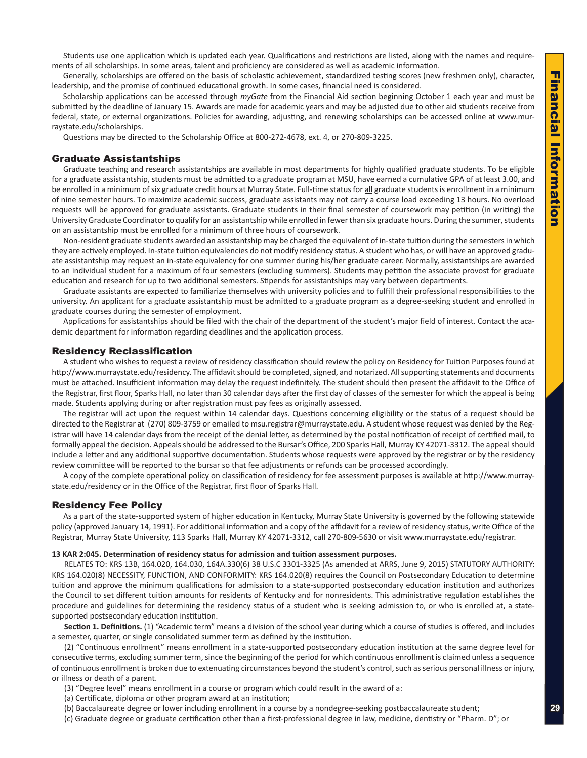<span id="page-6-0"></span>Students use one application which is updated each year. Qualifications and restrictions are listed, along with the names and requirements of all scholarships. In some areas, talent and proficiency are considered as well as academic information.

Generally, scholarships are offered on the basis of scholastic achievement, standardized testing scores (new freshmen only), character, leadership, and the promise of continued educational growth. In some cases, financial need is considered.

Scholarship applications can be accessed through *myGate* from the Financial Aid section beginning October 1 each year and must be submitted by the deadline of January 15. Awards are made for academic years and may be adjusted due to other aid students receive from federal, state, or external organizations. Policies for awarding, adjusting, and renewing scholarships can be accessed online at www.murraystate.edu/scholarships.

Questions may be directed to the Scholarship Office at 800-272-4678, ext. 4, or 270-809-3225.

#### Graduate Assistantships

Graduate teaching and research assistantships are available in most departments for highly qualified graduate students. To be eligible for a graduate assistantship, students must be admitted to a graduate program at MSU, have earned a cumulative GPA of at least 3.00, and be enrolled in a minimum of six graduate credit hours at Murray State. Full-time status for all graduate students is enrollment in a minimum of nine semester hours. To maximize academic success, graduate assistants may not carry a course load exceeding 13 hours. No overload requests will be approved for graduate assistants. Graduate students in their final semester of coursework may petition (in writing) the University Graduate Coordinator to qualify for an assistantship while enrolled in fewer than six graduate hours. During the summer, students on an assistantship must be enrolled for a minimum of three hours of coursework.

Non-resident graduate students awarded an assistantship may be charged the equivalent of in-state tuition during the semesters in which they are actively employed. In-state tuition equivalencies do not modify residency status. A student who has, or will have an approved graduate assistantship may request an in-state equivalency for one summer during his/her graduate career. Normally, assistantships are awarded to an individual student for a maximum of four semesters (excluding summers). Students may petition the associate provost for graduate education and research for up to two additional semesters. Stipends for assistantships may vary between departments.

Graduate assistants are expected to familiarize themselves with university policies and to fulfill their professional responsibilities to the university. An applicant for a graduate assistantship must be admitted to a graduate program as a degree-seeking student and enrolled in graduate courses during the semester of employment.

Applications for assistantships should be filed with the chair of the department of the student's major field of interest. Contact the academic department for information regarding deadlines and the application process.

#### Residency Reclassification

A student who wishes to request a review of residency classification should review the policy on Residency for Tuition Purposes found at http://www.murraystate.edu/residency. The affidavit should be completed, signed, and notarized. All supporting statements and documents must be attached. Insufficient information may delay the request indefinitely. The student should then present the affidavit to the Office of the Registrar, first floor, Sparks Hall, no later than 30 calendar days after the first day of classes of the semester for which the appeal is being made. Students applying during or after registration must pay fees as originally assessed.

The registrar will act upon the request within 14 calendar days. Questions concerning eligibility or the status of a request should be directed to the Registrar at (270) 809-3759 or emailed to msu.registrar@murraystate.edu. A student whose request was denied by the Registrar will have 14 calendar days from the receipt of the denial letter, as determined by the postal notification of receipt of certified mail, to formally appeal the decision. Appeals should be addressed to the Bursar's Office, 200 Sparks Hall, Murray KY 42071-3312. The appeal should include a letter and any additional supportive documentation. Students whose requests were approved by the registrar or by the residency review committee will be reported to the bursar so that fee adjustments or refunds can be processed accordingly.

A copy of the complete operational policy on classification of residency for fee assessment purposes is available at http://www.murraystate.edu/residency or in the Office of the Registrar, first floor of Sparks Hall.

#### Residency Fee Policy

As a part of the state-supported system of higher education in Kentucky, Murray State University is governed by the following statewide policy (approved January 14, 1991). For additional information and a copy of the affidavit for a review of residency status, write Office of the Registrar, Murray State University, 113 Sparks Hall, Murray KY 42071-3312, call 270-809-5630 or visit www.murraystate.edu/registrar.

#### **13 KAR 2:045. Determination of residency status for admission and tuition assessment purposes.**

RELATES TO: KRS 13B, 164.020, 164.030, 164A.330(6) 38 U.S.C 3301-3325 (As amended at ARRS, June 9, 2015) STATUTORY AUTHORITY: KRS 164.020(8) NECESSITY, FUNCTION, AND CONFORMITY: KRS 164.020(8) requires the Council on Postsecondary Education to determine tuition and approve the minimum qualifications for admission to a state-supported postsecondary education institution and authorizes the Council to set different tuition amounts for residents of Kentucky and for nonresidents. This administrative regulation establishes the procedure and guidelines for determining the residency status of a student who is seeking admission to, or who is enrolled at, a statesupported postsecondary education institution.

**Section 1. Definitions.** (1) "Academic term" means a division of the school year during which a course of studies is offered, and includes a semester, quarter, or single consolidated summer term as defined by the institution.

(2) "Continuous enrollment" means enrollment in a state-supported postsecondary education institution at the same degree level for consecutive terms, excluding summer term, since the beginning of the period for which continuous enrollment is claimed unless a sequence of continuous enrollment is broken due to extenuating circumstances beyond the student's control, such as serious personal illness or injury, or illness or death of a parent.

- (3) "Degree level" means enrollment in a course or program which could result in the award of a:
- (a) Certificate, diploma or other program award at an institution;
- (b) Baccalaureate degree or lower including enrollment in a course by a nondegree-seeking postbaccalaureate student;
- (c) Graduate degree or graduate certification other than a first-professional degree in law, medicine, dentistry or "Pharm. D"; or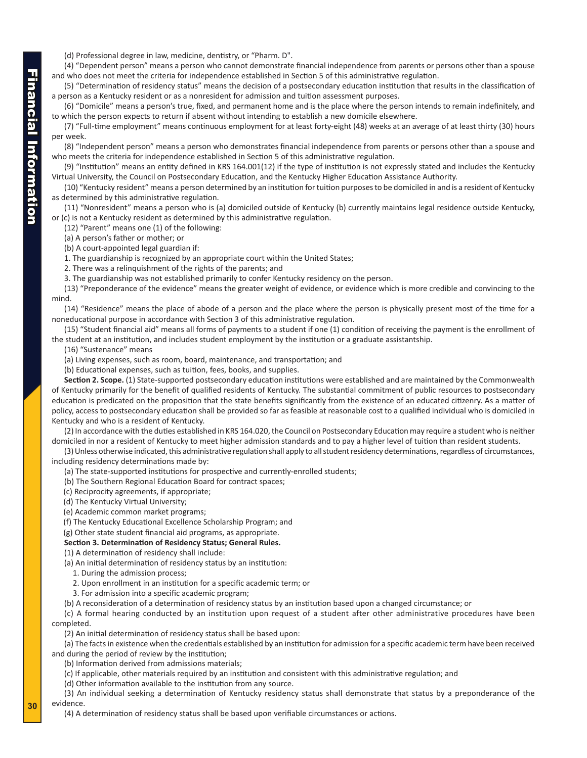(d) Professional degree in law, medicine, dentistry, or "Pharm. D".

(4) "Dependent person" means a person who cannot demonstrate financial independence from parents or persons other than a spouse and who does not meet the criteria for independence established in Section 5 of this administrative regulation.

(5) "Determination of residency status" means the decision of a postsecondary education institution that results in the classification of a person as a Kentucky resident or as a nonresident for admission and tuition assessment purposes.

(6) "Domicile" means a person's true, fixed, and permanent home and is the place where the person intends to remain indefinitely, and to which the person expects to return if absent without intending to establish a new domicile elsewhere.

(7) "Full-time employment" means continuous employment for at least forty-eight (48) weeks at an average of at least thirty (30) hours per week.

(8) "Independent person" means a person who demonstrates financial independence from parents or persons other than a spouse and who meets the criteria for independence established in Section 5 of this administrative regulation.

(9) "Institution" means an entity defined in KRS 164.001(12) if the type of institution is not expressly stated and includes the Kentucky Virtual University, the Council on Postsecondary Education, and the Kentucky Higher Education Assistance Authority.

(10) "Kentucky resident" means a person determined by an institution for tuition purposes to be domiciled in and is a resident of Kentucky as determined by this administrative regulation.

(11) "Nonresident" means a person who is (a) domiciled outside of Kentucky (b) currently maintains legal residence outside Kentucky, or (c) is not a Kentucky resident as determined by this administrative regulation.

(12) "Parent" means one (1) of the following:

(a) A person's father or mother; or

(b) A court-appointed legal guardian if:

1. The guardianship is recognized by an appropriate court within the United States;

2. There was a relinquishment of the rights of the parents; and

3. The guardianship was not established primarily to confer Kentucky residency on the person.

(13) "Preponderance of the evidence" means the greater weight of evidence, or evidence which is more credible and convincing to the mind.

(14) "Residence" means the place of abode of a person and the place where the person is physically present most of the time for a noneducational purpose in accordance with Section 3 of this administrative regulation.

(15) "Student financial aid" means all forms of payments to a student if one (1) condition of receiving the payment is the enrollment of the student at an institution, and includes student employment by the institution or a graduate assistantship.

(16) "Sustenance" means

(a) Living expenses, such as room, board, maintenance, and transportation; and

(b) Educational expenses, such as tuition, fees, books, and supplies.

**Section 2. Scope.** (1) State-supported postsecondary education institutions were established and are maintained by the Commonwealth of Kentucky primarily for the benefit of qualified residents of Kentucky. The substantial commitment of public resources to postsecondary education is predicated on the proposition that the state benefits significantly from the existence of an educated citizenry. As a matter of policy, access to postsecondary education shall be provided so far as feasible at reasonable cost to a qualified individual who is domiciled in Kentucky and who is a resident of Kentucky.

(2) In accordance with the duties established in KRS 164.020, the Council on Postsecondary Education may require a student who is neither domiciled in nor a resident of Kentucky to meet higher admission standards and to pay a higher level of tuition than resident students.

(3) Unless otherwise indicated, this administrative regulation shall apply to all student residency determinations, regardless of circumstances, including residency determinations made by:

(a) The state-supported institutions for prospective and currently-enrolled students;

(b) The Southern Regional Education Board for contract spaces;

- (c) Reciprocity agreements, if appropriate;
- (d) The Kentucky Virtual University;
- (e) Academic common market programs;

(f) The Kentucky Educational Excellence Scholarship Program; and

(g) Other state student financial aid programs, as appropriate.

#### **Section 3. Determination of Residency Status; General Rules.**

(1) A determination of residency shall include:

- (a) An initial determination of residency status by an institution:
	- 1. During the admission process;
	- 2. Upon enrollment in an institution for a specific academic term; or
	- 3. For admission into a specific academic program;

(b) A reconsideration of a determination of residency status by an institution based upon a changed circumstance; or

(c) A formal hearing conducted by an institution upon request of a student after other administrative procedures have been completed.

(2) An initial determination of residency status shall be based upon:

(a) The facts in existence when the credentials established by an institution for admission for a specific academic term have been received and during the period of review by the institution;

(b) Information derived from admissions materials;

(c) If applicable, other materials required by an institution and consistent with this administrative regulation; and

(d) Other information available to the institution from any source.

(3) An individual seeking a determination of Kentucky residency status shall demonstrate that status by a preponderance of the evidence.

(4) A determination of residency status shall be based upon verifiable circumstances or actions.

**30**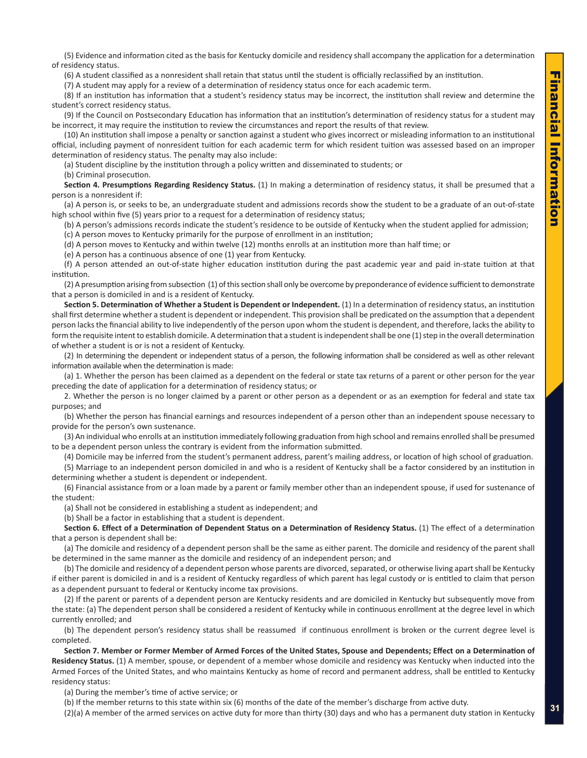(5) Evidence and information cited as the basis for Kentucky domicile and residency shall accompany the application for a determination of residency status.

(6) A student classified as a nonresident shall retain that status until the student is officially reclassified by an institution.

(7) A student may apply for a review of a determination of residency status once for each academic term.

(8) If an institution has information that a student's residency status may be incorrect, the institution shall review and determine the student's correct residency status.

(9) If the Council on Postsecondary Education has information that an institution's determination of residency status for a student may be incorrect, it may require the institution to review the circumstances and report the results of that review.

(10) An institution shall impose a penalty or sanction against a student who gives incorrect or misleading information to an institutional official, including payment of nonresident tuition for each academic term for which resident tuition was assessed based on an improper determination of residency status. The penalty may also include:

(a) Student discipline by the institution through a policy written and disseminated to students; or

(b) Criminal prosecution.

**Section 4. Presumptions Regarding Residency Status.** (1) In making a determination of residency status, it shall be presumed that a person is a nonresident if:

(a) A person is, or seeks to be, an undergraduate student and admissions records show the student to be a graduate of an out-of-state high school within five (5) years prior to a request for a determination of residency status;

(b) A person's admissions records indicate the student's residence to be outside of Kentucky when the student applied for admission; (c) A person moves to Kentucky primarily for the purpose of enrollment in an institution;

(d) A person moves to Kentucky and within twelve (12) months enrolls at an institution more than half time; or

(e) A person has a continuous absence of one (1) year from Kentucky.

(f) A person attended an out-of-state higher education institution during the past academic year and paid in-state tuition at that institution.

(2) A presumption arising from subsection (1) of this section shall only be overcome by preponderance of evidence sufficient to demonstrate that a person is domiciled in and is a resident of Kentucky.

**Section 5. Determination of Whether a Student is Dependent or Independent.** (1) In a determination of residency status, an institution shall first determine whether a student is dependent or independent. This provision shall be predicated on the assumption that a dependent person lacks the financial ability to live independently of the person upon whom the student is dependent, and therefore, lacks the ability to form the requisite intent to establish domicile. A determination that a student is independent shall be one (1) step in the overall determination of whether a student is or is not a resident of Kentucky.

(2) In determining the dependent or independent status of a person, the following information shall be considered as well as other relevant information available when the determination is made:

(a) 1. Whether the person has been claimed as a dependent on the federal or state tax returns of a parent or other person for the year preceding the date of application for a determination of residency status; or

2. Whether the person is no longer claimed by a parent or other person as a dependent or as an exemption for federal and state tax purposes; and

(b) Whether the person has financial earnings and resources independent of a person other than an independent spouse necessary to provide for the person's own sustenance.

(3) An individual who enrolls at an institution immediately following graduation from high school and remains enrolled shall be presumed to be a dependent person unless the contrary is evident from the information submitted.

(4) Domicile may be inferred from the student's permanent address, parent's mailing address, or location of high school of graduation.

(5) Marriage to an independent person domiciled in and who is a resident of Kentucky shall be a factor considered by an institution in determining whether a student is dependent or independent.

(6) Financial assistance from or a loan made by a parent or family member other than an independent spouse, if used for sustenance of the student:

(a) Shall not be considered in establishing a student as independent; and

(b) Shall be a factor in establishing that a student is dependent.

**Section 6. Effect of a Determination of Dependent Status on a Determination of Residency Status.** (1) The effect of a determination that a person is dependent shall be:

(a) The domicile and residency of a dependent person shall be the same as either parent. The domicile and residency of the parent shall be determined in the same manner as the domicile and residency of an independent person; and

(b) The domicile and residency of a dependent person whose parents are divorced, separated, or otherwise living apart shall be Kentucky if either parent is domiciled in and is a resident of Kentucky regardless of which parent has legal custody or is entitled to claim that person as a dependent pursuant to federal or Kentucky income tax provisions.

(2) If the parent or parents of a dependent person are Kentucky residents and are domiciled in Kentucky but subsequently move from the state: (a) The dependent person shall be considered a resident of Kentucky while in continuous enrollment at the degree level in which currently enrolled; and

(b) The dependent person's residency status shall be reassumed if continuous enrollment is broken or the current degree level is completed.

**Section 7. Member or Former Member of Armed Forces of the United States, Spouse and Dependents; Effect on a Determination of Residency Status.** (1) A member, spouse, or dependent of a member whose domicile and residency was Kentucky when inducted into the Armed Forces of the United States, and who maintains Kentucky as home of record and permanent address, shall be entitled to Kentucky residency status:

(a) During the member's time of active service; or

(b) If the member returns to this state within six (6) months of the date of the member's discharge from active duty.

(2)(a) A member of the armed services on active duty for more than thirty (30) days and who has a permanent duty station in Kentucky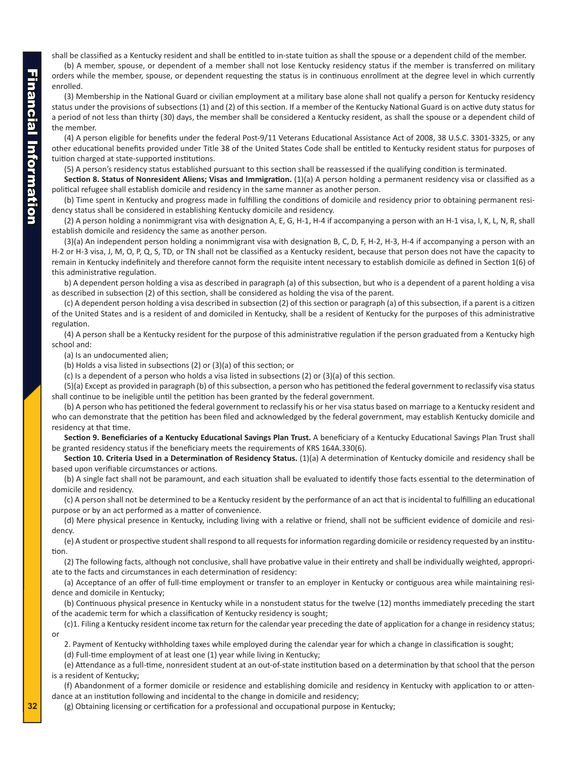shall be classified as a Kentucky resident and shall be entitled to in-state tuition as shall the spouse or a dependent child of the member.

(b) A member, spouse, or dependent of a member shall not lose Kentucky residency status if the member is transferred on military orders while the member, spouse, or dependent requesting the status is in continuous enrollment at the degree level in which currently enrolled.

(3) Membership in the National Guard or civilian employment at a military base alone shall not qualify a person for Kentucky residency status under the provisions of subsections (1) and (2) of this section. If a member of the Kentucky National Guard is on active duty status for a period of not less than thirty (30) days, the member shall be considered a Kentucky resident, as shall the spouse or a dependent child of the member.

(4) A person eligible for benefits under the federal Post-9/11 Veterans Educational Assistance Act of 2008, 38 U.S.C. 3301-3325, or any other educational benefits provided under Title 38 of the United States Code shall be entitled to Kentucky resident status for purposes of tuition charged at state-supported institutions.

(5) A person's residency status established pursuant to this section shall be reassessed if the qualifying condition is terminated.

**Section 8. Status of Nonresident Aliens; Visas and Immigration.** (1)(a) A person holding a permanent residency visa or classified as a political refugee shall establish domicile and residency in the same manner as another person.

(b) Time spent in Kentucky and progress made in fulfilling the conditions of domicile and residency prior to obtaining permanent residency status shall be considered in establishing Kentucky domicile and residency.

(2) A person holding a nonimmigrant visa with designation A, E, G, H-1, H-4 if accompanying a person with an H-1 visa, I, K, L, N, R, shall establish domicile and residency the same as another person.

(3)(a) An independent person holding a nonimmigrant visa with designation B, C, D, F, H-2, H-3, H-4 if accompanying a person with an H-2 or H-3 visa, J, M, O, P, Q, S, TD, or TN shall not be classified as a Kentucky resident, because that person does not have the capacity to remain in Kentucky indefinitely and therefore cannot form the requisite intent necessary to establish domicile as defined in Section 1(6) of this administrative regulation.

b) A dependent person holding a visa as described in paragraph (a) of this subsection, but who is a dependent of a parent holding a visa as described in subsection (2) of this section, shall be considered as holding the visa of the parent.

(c) A dependent person holding a visa described in subsection (2) of this section or paragraph (a) of this subsection, if a parent is a citizen of the United States and is a resident of and domiciled in Kentucky, shall be a resident of Kentucky for the purposes of this administrative regulation.

(4) A person shall be a Kentucky resident for the purpose of this administrative regulation if the person graduated from a Kentucky high school and:

(a) Is an undocumented alien;

(b) Holds a visa listed in subsections (2) or (3)(a) of this section; or

(c) Is a dependent of a person who holds a visa listed in subsections (2) or (3)(a) of this section.

(5)(a) Except as provided in paragraph (b) of this subsection, a person who has petitioned the federal government to reclassify visa status shall continue to be ineligible until the petition has been granted by the federal government.

(b) A person who has petitioned the federal government to reclassify his or her visa status based on marriage to a Kentucky resident and who can demonstrate that the petition has been filed and acknowledged by the federal government, may establish Kentucky domicile and residency at that time.

**Section 9. Beneficiaries of a Kentucky Educational Savings Plan Trust.** A beneficiary of a Kentucky Educational Savings Plan Trust shall be granted residency status if the beneficiary meets the requirements of KRS 164A.330(6).

**Section 10. Criteria Used in a Determination of Residency Status.** (1)(a) A determination of Kentucky domicile and residency shall be based upon verifiable circumstances or actions.

(b) A single fact shall not be paramount, and each situation shall be evaluated to identify those facts essential to the determination of domicile and residency.

(c) A person shall not be determined to be a Kentucky resident by the performance of an act that is incidental to fulfilling an educational purpose or by an act performed as a matter of convenience.

(d) Mere physical presence in Kentucky, including living with a relative or friend, shall not be sufficient evidence of domicile and residency.

(e) A student or prospective student shall respond to all requests for information regarding domicile or residency requested by an institution.

(2) The following facts, although not conclusive, shall have probative value in their entirety and shall be individually weighted, appropriate to the facts and circumstances in each determination of residency:

(a) Acceptance of an offer of full-time employment or transfer to an employer in Kentucky or contiguous area while maintaining residence and domicile in Kentucky;

(b) Continuous physical presence in Kentucky while in a nonstudent status for the twelve (12) months immediately preceding the start of the academic term for which a classification of Kentucky residency is sought;

(c)1. Filing a Kentucky resident income tax return for the calendar year preceding the date of application for a change in residency status; or

2. Payment of Kentucky withholding taxes while employed during the calendar year for which a change in classification is sought; (d) Full-time employment of at least one (1) year while living in Kentucky;

(e) Attendance as a full-time, nonresident student at an out-of-state institution based on a determination by that school that the person is a resident of Kentucky;

(f) Abandonment of a former domicile or residence and establishing domicile and residency in Kentucky with application to or attendance at an institution following and incidental to the change in domicile and residency;

(g) Obtaining licensing or certification for a professional and occupational purpose in Kentucky;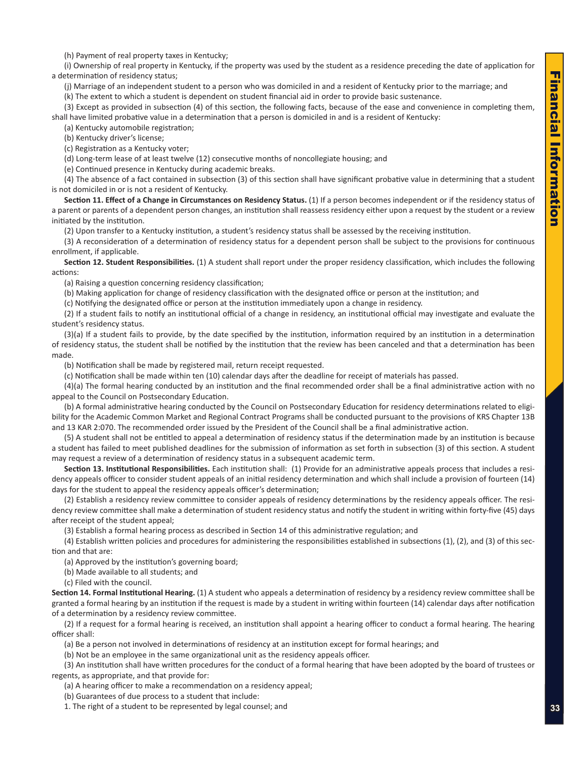(h) Payment of real property taxes in Kentucky;

(i) Ownership of real property in Kentucky, if the property was used by the student as a residence preceding the date of application for a determination of residency status;

(j) Marriage of an independent student to a person who was domiciled in and a resident of Kentucky prior to the marriage; and

(k) The extent to which a student is dependent on student financial aid in order to provide basic sustenance.

(3) Except as provided in subsection (4) of this section, the following facts, because of the ease and convenience in completing them, shall have limited probative value in a determination that a person is domiciled in and is a resident of Kentucky:

(a) Kentucky automobile registration;

(b) Kentucky driver's license;

(c) Registration as a Kentucky voter;

(d) Long-term lease of at least twelve (12) consecutive months of noncollegiate housing; and

(e) Continued presence in Kentucky during academic breaks.

(4) The absence of a fact contained in subsection (3) of this section shall have significant probative value in determining that a student is not domiciled in or is not a resident of Kentucky.

**Section 11. Effect of a Change in Circumstances on Residency Status.** (1) If a person becomes independent or if the residency status of a parent or parents of a dependent person changes, an institution shall reassess residency either upon a request by the student or a review initiated by the institution.

(2) Upon transfer to a Kentucky institution, a student's residency status shall be assessed by the receiving institution.

(3) A reconsideration of a determination of residency status for a dependent person shall be subject to the provisions for continuous enrollment, if applicable.

**Section 12. Student Responsibilities.** (1) A student shall report under the proper residency classification, which includes the following actions:

(a) Raising a question concerning residency classification;

(b) Making application for change of residency classification with the designated office or person at the institution; and

(c) Notifying the designated office or person at the institution immediately upon a change in residency.

(2) If a student fails to notify an institutional official of a change in residency, an institutional official may investigate and evaluate the student's residency status.

(3)(a) If a student fails to provide, by the date specified by the institution, information required by an institution in a determination of residency status, the student shall be notified by the institution that the review has been canceled and that a determination has been made.

(b) Notification shall be made by registered mail, return receipt requested.

(c) Notification shall be made within ten (10) calendar days after the deadline for receipt of materials has passed.

(4)(a) The formal hearing conducted by an institution and the final recommended order shall be a final administrative action with no appeal to the Council on Postsecondary Education.

(b) A formal administrative hearing conducted by the Council on Postsecondary Education for residency determinations related to eligibility for the Academic Common Market and Regional Contract Programs shall be conducted pursuant to the provisions of KRS Chapter 13B and 13 KAR 2:070. The recommended order issued by the President of the Council shall be a final administrative action.

(5) A student shall not be entitled to appeal a determination of residency status if the determination made by an institution is because a student has failed to meet published deadlines for the submission of information as set forth in subsection (3) of this section. A student may request a review of a determination of residency status in a subsequent academic term.

**Section 13. Institutional Responsibilities.** Each institution shall: (1) Provide for an administrative appeals process that includes a residency appeals officer to consider student appeals of an initial residency determination and which shall include a provision of fourteen (14) days for the student to appeal the residency appeals officer's determination;

(2) Establish a residency review committee to consider appeals of residency determinations by the residency appeals officer. The residency review committee shall make a determination of student residency status and notify the student in writing within forty-five (45) days after receipt of the student appeal;

(3) Establish a formal hearing process as described in Section 14 of this administrative regulation; and

(4) Establish written policies and procedures for administering the responsibilities established in subsections (1), (2), and (3) of this section and that are:

(a) Approved by the institution's governing board;

(b) Made available to all students; and

(c) Filed with the council.

**Section 14. Formal Institutional Hearing.** (1) A student who appeals a determination of residency by a residency review committee shall be granted a formal hearing by an institution if the request is made by a student in writing within fourteen (14) calendar days after notification of a determination by a residency review committee.

(2) If a request for a formal hearing is received, an institution shall appoint a hearing officer to conduct a formal hearing. The hearing officer shall:

(a) Be a person not involved in determinations of residency at an institution except for formal hearings; and

(b) Not be an employee in the same organizational unit as the residency appeals officer.

(3) An institution shall have written procedures for the conduct of a formal hearing that have been adopted by the board of trustees or regents, as appropriate, and that provide for:

(a) A hearing officer to make a recommendation on a residency appeal;

(b) Guarantees of due process to a student that include:

1. The right of a student to be represented by legal counsel; and